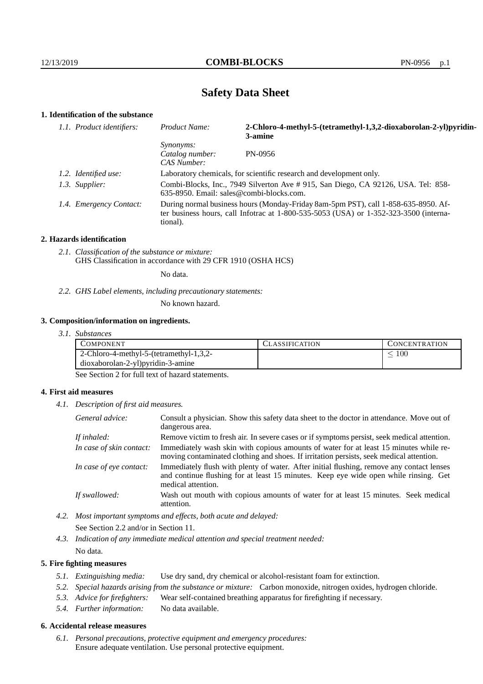# **Safety Data Sheet**

## **1. Identification of the substance**

| 1.1. Product identifiers: | Product Name:                                      | 2-Chloro-4-methyl-5-(tetramethyl-1,3,2-dioxaborolan-2-yl)pyridin-<br>3-amine                                                                                                    |
|---------------------------|----------------------------------------------------|---------------------------------------------------------------------------------------------------------------------------------------------------------------------------------|
|                           | <i>Synonyms:</i><br>Catalog number:<br>CAS Number: | PN-0956                                                                                                                                                                         |
| 1.2. Identified use:      |                                                    | Laboratory chemicals, for scientific research and development only.                                                                                                             |
| 1.3. Supplier:            |                                                    | Combi-Blocks, Inc., 7949 Silverton Ave # 915, San Diego, CA 92126, USA. Tel: 858-<br>$635-8950$ . Email: sales@combi-blocks.com.                                                |
| 1.4. Emergency Contact:   | tional).                                           | During normal business hours (Monday-Friday 8am-5pm PST), call 1-858-635-8950. Af-<br>ter business hours, call Infotrac at $1-800-535-5053$ (USA) or $1-352-323-3500$ (interna- |

#### **2. Hazards identification**

*2.1. Classification of the substance or mixture:* GHS Classification in accordance with 29 CFR 1910 (OSHA HCS)

No data.

*2.2. GHS Label elements, including precautionary statements:*

No known hazard.

#### **3. Composition/information on ingredients.**

*3.1. Substances*

| <b>COMPONENT</b>                        | <b>CLASSIFICATION</b> | <b>CONCENTRATION</b> |
|-----------------------------------------|-----------------------|----------------------|
| 2-Chloro-4-methyl-5-(tetramethyl-1,3,2- |                       | 100                  |
| dioxaborolan-2-yl)pyridin-3-amine       |                       |                      |

See Section 2 for full text of hazard statements.

#### **4. First aid measures**

*4.1. Description of first aid measures.*

| General advice:          | Consult a physician. Show this safety data sheet to the doctor in attendance. Move out of<br>dangerous area.                                                                                            |
|--------------------------|---------------------------------------------------------------------------------------------------------------------------------------------------------------------------------------------------------|
| If inhaled:              | Remove victim to fresh air. In severe cases or if symptoms persist, seek medical attention.                                                                                                             |
| In case of skin contact: | Immediately wash skin with copious amounts of water for at least 15 minutes while re-<br>moving contaminated clothing and shoes. If irritation persists, seek medical attention.                        |
| In case of eye contact:  | Immediately flush with plenty of water. After initial flushing, remove any contact lenses<br>and continue flushing for at least 15 minutes. Keep eye wide open while rinsing. Get<br>medical attention. |
| If swallowed:            | Wash out mouth with copious amounts of water for at least 15 minutes. Seek medical<br>attention.                                                                                                        |

*4.2. Most important symptoms and effects, both acute and delayed:* See Section 2.2 and/or in Section 11.

*4.3. Indication of any immediate medical attention and special treatment needed:* No data.

#### **5. Fire fighting measures**

- *5.1. Extinguishing media:* Use dry sand, dry chemical or alcohol-resistant foam for extinction.
- *5.2. Special hazards arising from the substance or mixture:* Carbon monoxide, nitrogen oxides, hydrogen chloride.
- *5.3. Advice for firefighters:* Wear self-contained breathing apparatus for firefighting if necessary.
- *5.4. Further information:* No data available.

### **6. Accidental release measures**

*6.1. Personal precautions, protective equipment and emergency procedures:* Ensure adequate ventilation. Use personal protective equipment.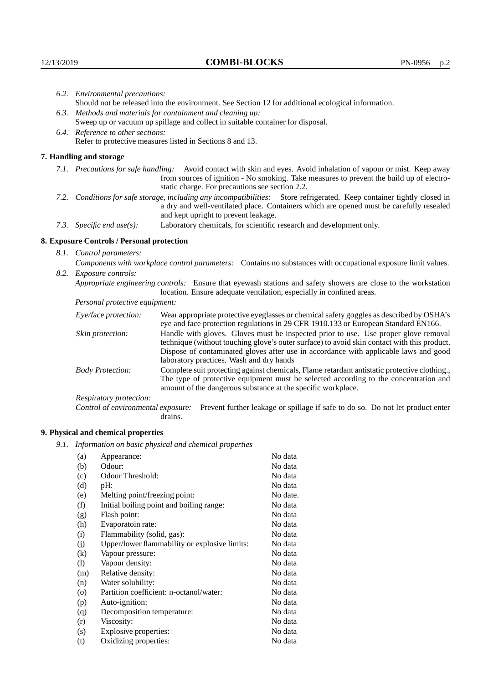|                                                                                                                         | 6.2. Environmental precautions:                                                                                                                                                        |                                                                                                                                                                                                                                                                    |  |
|-------------------------------------------------------------------------------------------------------------------------|----------------------------------------------------------------------------------------------------------------------------------------------------------------------------------------|--------------------------------------------------------------------------------------------------------------------------------------------------------------------------------------------------------------------------------------------------------------------|--|
|                                                                                                                         | Should not be released into the environment. See Section 12 for additional ecological information.                                                                                     |                                                                                                                                                                                                                                                                    |  |
|                                                                                                                         | 6.3. Methods and materials for containment and cleaning up:                                                                                                                            |                                                                                                                                                                                                                                                                    |  |
|                                                                                                                         | Sweep up or vacuum up spillage and collect in suitable container for disposal.                                                                                                         |                                                                                                                                                                                                                                                                    |  |
|                                                                                                                         | 6.4. Reference to other sections:                                                                                                                                                      |                                                                                                                                                                                                                                                                    |  |
|                                                                                                                         | Refer to protective measures listed in Sections 8 and 13.                                                                                                                              |                                                                                                                                                                                                                                                                    |  |
|                                                                                                                         | 7. Handling and storage                                                                                                                                                                |                                                                                                                                                                                                                                                                    |  |
|                                                                                                                         |                                                                                                                                                                                        | 7.1. Precautions for safe handling: Avoid contact with skin and eyes. Avoid inhalation of vapour or mist. Keep away<br>from sources of ignition - No smoking. Take measures to prevent the build up of electro-<br>static charge. For precautions see section 2.2. |  |
| 7.2. Conditions for safe storage, including any incompatibilities: Store refrigerated. Keep container tightly closed in |                                                                                                                                                                                        | a dry and well-ventilated place. Containers which are opened must be carefully resealed<br>and kept upright to prevent leakage.                                                                                                                                    |  |
|                                                                                                                         | 7.3. Specific end use(s):                                                                                                                                                              | Laboratory chemicals, for scientific research and development only.                                                                                                                                                                                                |  |
|                                                                                                                         | 8. Exposure Controls / Personal protection                                                                                                                                             |                                                                                                                                                                                                                                                                    |  |
|                                                                                                                         | 8.1. Control parameters:                                                                                                                                                               |                                                                                                                                                                                                                                                                    |  |
|                                                                                                                         |                                                                                                                                                                                        | Components with workplace control parameters: Contains no substances with occupational exposure limit values.                                                                                                                                                      |  |
|                                                                                                                         | 8.2. Exposure controls:                                                                                                                                                                |                                                                                                                                                                                                                                                                    |  |
|                                                                                                                         | Appropriate engineering controls: Ensure that eyewash stations and safety showers are close to the workstation<br>location. Ensure adequate ventilation, especially in confined areas. |                                                                                                                                                                                                                                                                    |  |
|                                                                                                                         | Personal protective equipment:                                                                                                                                                         |                                                                                                                                                                                                                                                                    |  |
|                                                                                                                         | Eye/face protection:                                                                                                                                                                   | Wear appropriate protective eyeglasses or chemical safety goggles as described by OSHA's<br>eye and face protection regulations in 29 CFR 1910.133 or European Standard EN166.                                                                                     |  |
|                                                                                                                         | Skin protection:                                                                                                                                                                       | Handle with gloves. Gloves must be inspected prior to use. Use proper glove removal<br>technique (without touching glove's outer surface) to avoid skin contact with this product                                                                                  |  |

## **8. Exposure Controls / Personal protection**

| Eye/face protection:               | Wear appropriate protective eyeglasses or chemical safety goggles as described by OSHA's<br>eye and face protection regulations in 29 CFR 1910.133 or European Standard EN166.                                                                                                                                         |  |
|------------------------------------|------------------------------------------------------------------------------------------------------------------------------------------------------------------------------------------------------------------------------------------------------------------------------------------------------------------------|--|
| Skin protection:                   | Handle with gloves. Gloves must be inspected prior to use. Use proper glove removal<br>technique (without touching glove's outer surface) to avoid skin contact with this product.<br>Dispose of contaminated gloves after use in accordance with applicable laws and good<br>laboratory practices. Wash and dry hands |  |
| <b>Body Protection:</b>            | Complete suit protecting against chemicals, Flame retardant antistatic protective clothing.<br>The type of protective equipment must be selected according to the concentration and<br>amount of the dangerous substance at the specific workplace.                                                                    |  |
| Respiratory protection:            |                                                                                                                                                                                                                                                                                                                        |  |
| Control of environmental exposure: | Prevent further leakage or spillage if safe to do so. Do not let product enter<br>drains.                                                                                                                                                                                                                              |  |

## **9. Physical and chemical properties**

*9.1. Information on basic physical and chemical properties*

| (a)     | Appearance:                                   | No data  |
|---------|-----------------------------------------------|----------|
| (b)     | Odour:                                        | No data  |
| (c)     | Odour Threshold:                              | No data  |
| (d)     | pH:                                           | No data  |
| (e)     | Melting point/freezing point:                 | No date. |
| (f)     | Initial boiling point and boiling range:      | No data  |
| (g)     | Flash point:                                  | No data  |
| (h)     | Evaporatoin rate:                             | No data  |
| (i)     | Flammability (solid, gas):                    | No data  |
| (i)     | Upper/lower flammability or explosive limits: | No data  |
| (k)     | Vapour pressure:                              | No data  |
| (1)     | Vapour density:                               | No data  |
| (m)     | Relative density:                             | No data  |
| (n)     | Water solubility:                             | No data  |
| $\circ$ | Partition coefficient: n-octanol/water:       | No data  |
| (p)     | Auto-ignition:                                | No data  |
| (q)     | Decomposition temperature:                    | No data  |
| (r)     | Viscosity:                                    | No data  |
| (s)     | Explosive properties:                         | No data  |
| (t)     | Oxidizing properties:                         | No data  |
|         |                                               |          |